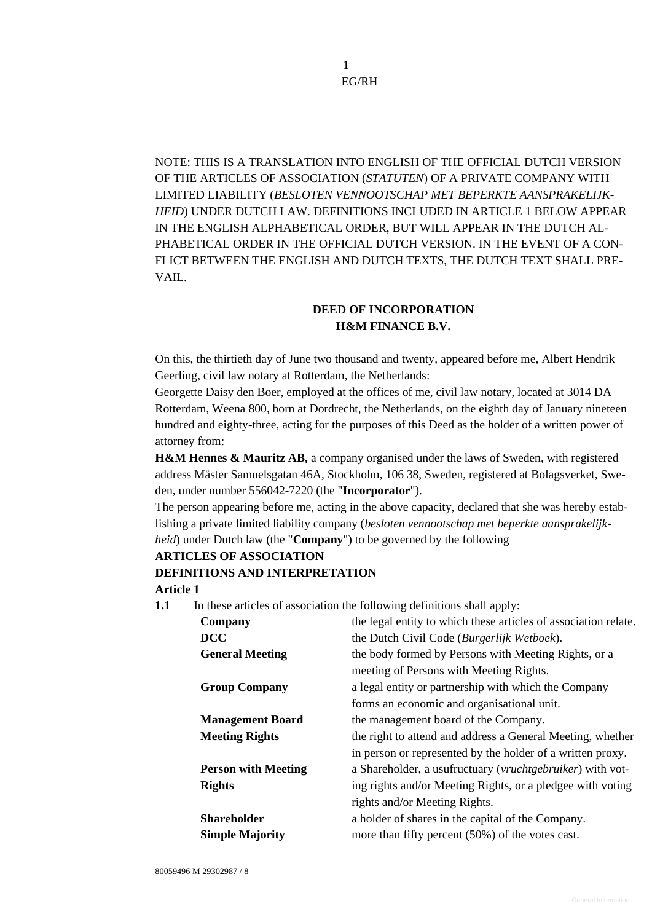1 EG/RH

NOTE: THIS IS A TRANSLATION INTO ENGLISH OF THE OFFICIAL DUTCH VERSION OF THE ARTICLES OF ASSOCIATION (*STATUTEN*) OF A PRIVATE COMPANY WITH LIMITED LIABILITY (*BESLOTEN VENNOOTSCHAP MET BEPERKTE AANSPRAKELIJK-HEID*) UNDER DUTCH LAW. DEFINITIONS INCLUDED IN ARTICLE 1 BELOW APPEAR IN THE ENGLISH ALPHABETICAL ORDER, BUT WILL APPEAR IN THE DUTCH AL-PHABETICAL ORDER IN THE OFFICIAL DUTCH VERSION. IN THE EVENT OF A CON-FLICT BETWEEN THE ENGLISH AND DUTCH TEXTS, THE DUTCH TEXT SHALL PRE-VAIL.

# **DEED OF INCORPORATION H&M FINANCE B.V.**

On this, the thirtieth day of June two thousand and twenty, appeared before me, Albert Hendrik Geerling, civil law notary at Rotterdam, the Netherlands:

Georgette Daisy den Boer, employed at the offices of me, civil law notary, located at 3014 DA Rotterdam, Weena 800, born at Dordrecht, the Netherlands, on the eighth day of January nineteen hundred and eighty-three, acting for the purposes of this Deed as the holder of a written power of attorney from:

**H&M Hennes & Mauritz AB,** a company organised under the laws of Sweden, with registered address Mäster Samuelsgatan 46A, Stockholm, 106 38, Sweden, registered at Bolagsverket, Sweden, under number 556042-7220 (the "**Incorporator**").

The person appearing before me, acting in the above capacity, declared that she was hereby establishing a private limited liability company (*besloten vennootschap met beperkte aansprakelijkheid*) under Dutch law (the "**Company**") to be governed by the following

# **ARTICLES OF ASSOCIATION DEFINITIONS AND INTERPRETATION Article 1**

**1.1** In these articles of association the following definitions shall apply:

| Company                    | the legal entity to which these articles of association relate. |
|----------------------------|-----------------------------------------------------------------|
| <b>DCC</b>                 | the Dutch Civil Code (Burgerlijk Wetboek).                      |
| <b>General Meeting</b>     | the body formed by Persons with Meeting Rights, or a            |
|                            | meeting of Persons with Meeting Rights.                         |
| <b>Group Company</b>       | a legal entity or partnership with which the Company            |
|                            | forms an economic and organisational unit.                      |
| <b>Management Board</b>    | the management board of the Company.                            |
| <b>Meeting Rights</b>      | the right to attend and address a General Meeting, whether      |
|                            | in person or represented by the holder of a written proxy.      |
| <b>Person with Meeting</b> | a Shareholder, a usufructuary (vruchtgebruiker) with vot-       |
| <b>Rights</b>              | ing rights and/or Meeting Rights, or a pledgee with voting      |
|                            | rights and/or Meeting Rights.                                   |
| <b>Shareholder</b>         | a holder of shares in the capital of the Company.               |
| <b>Simple Majority</b>     | more than fifty percent $(50\%)$ of the votes cast.             |
|                            |                                                                 |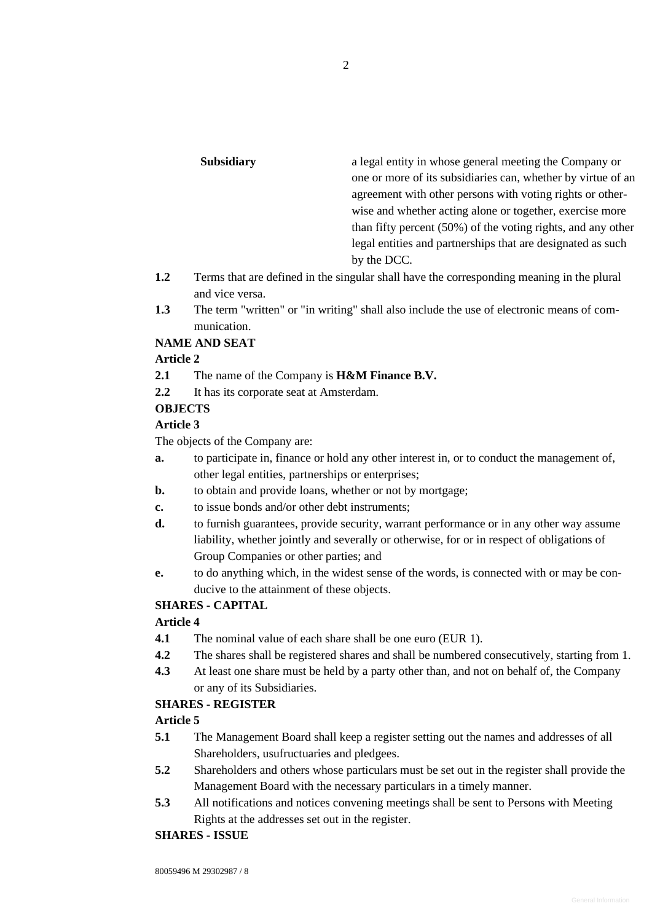| a legal entity in whose general meeting the Company or       |
|--------------------------------------------------------------|
| one or more of its subsidiaries can, whether by virtue of an |
| agreement with other persons with voting rights or other-    |
| wise and whether acting alone or together, exercise more     |
| than fifty percent (50%) of the voting rights, and any other |
| legal entities and partnerships that are designated as such  |
|                                                              |
|                                                              |

- **1.2** Terms that are defined in the singular shall have the corresponding meaning in the plural and vice versa.
- **1.3** The term "written" or "in writing" shall also include the use of electronic means of communication.

### **NAME AND SEAT**

### **Article 2**

- **2.1** The name of the Company is **H&M Finance B.V.**
- **2.2** It has its corporate seat at Amsterdam.

### **OBJECTS**

### **Article 3**

The objects of the Company are:

- **a.** to participate in, finance or hold any other interest in, or to conduct the management of, other legal entities, partnerships or enterprises;
- **b.** to obtain and provide loans, whether or not by mortgage;
- **c.** to issue bonds and/or other debt instruments;
- **d.** to furnish guarantees, provide security, warrant performance or in any other way assume liability, whether jointly and severally or otherwise, for or in respect of obligations of Group Companies or other parties; and
- **e.** to do anything which, in the widest sense of the words, is connected with or may be conducive to the attainment of these objects.

# **SHARES - CAPITAL**

# **Article 4**

- **4.1** The nominal value of each share shall be one euro (EUR 1).
- **4.2** The shares shall be registered shares and shall be numbered consecutively, starting from 1.
- **4.3** At least one share must be held by a party other than, and not on behalf of, the Company or any of its Subsidiaries.

#### **SHARES - REGISTER**

# **Article 5**

- **5.1** The Management Board shall keep a register setting out the names and addresses of all Shareholders, usufructuaries and pledgees.
- **5.2** Shareholders and others whose particulars must be set out in the register shall provide the Management Board with the necessary particulars in a timely manner.
- **5.3** All notifications and notices convening meetings shall be sent to Persons with Meeting Rights at the addresses set out in the register.

# **SHARES - ISSUE**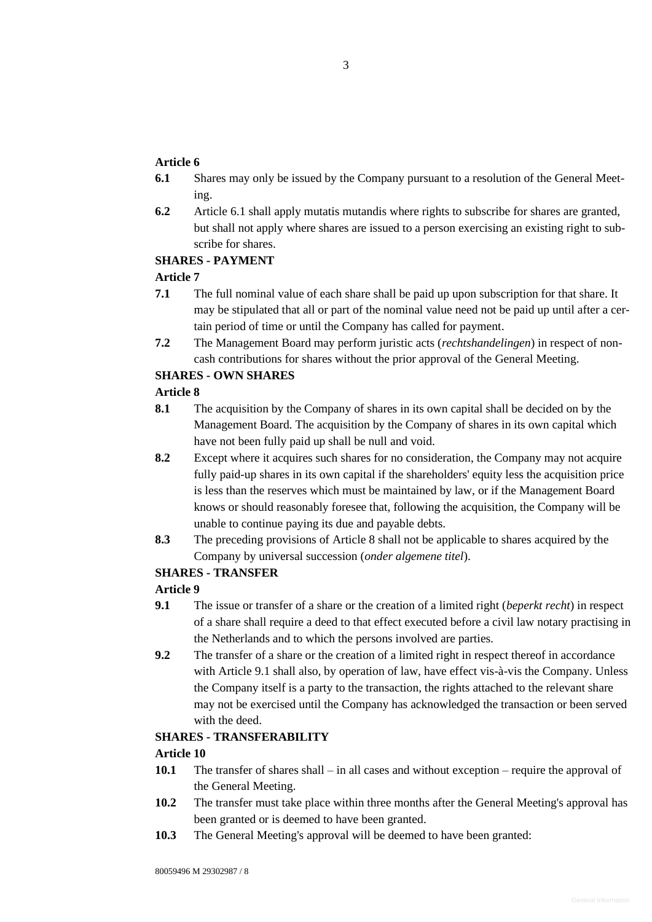# **Article 6**

- <span id="page-2-0"></span>**6.1** Shares may only be issued by the Company pursuant to a resolution of the General Meeting.
- **6.2** Article [6.1](#page-2-0) shall apply mutatis mutandis where rights to subscribe for shares are granted, but shall not apply where shares are issued to a person exercising an existing right to subscribe for shares.

### **SHARES - PAYMENT**

# **Article 7**

- **7.1** The full nominal value of each share shall be paid up upon subscription for that share. It may be stipulated that all or part of the nominal value need not be paid up until after a certain period of time or until the Company has called for payment.
- **7.2** The Management Board may perform juristic acts (*rechtshandelingen*) in respect of noncash contributions for shares without the prior approval of the General Meeting.

# **SHARES - OWN SHARES**

# <span id="page-2-1"></span>**Article 8**

- **8.1** The acquisition by the Company of shares in its own capital shall be decided on by the Management Board. The acquisition by the Company of shares in its own capital which have not been fully paid up shall be null and void.
- **8.2** Except where it acquires such shares for no consideration, the Company may not acquire fully paid-up shares in its own capital if the shareholders' equity less the acquisition price is less than the reserves which must be maintained by law, or if the Management Board knows or should reasonably foresee that, following the acquisition, the Company will be unable to continue paying its due and payable debts.
- **8.3** The preceding provisions of [Article 8](#page-2-1) shall not be applicable to shares acquired by the Company by universal succession (*onder algemene titel*).

# **SHARES - TRANSFER**

# **Article 9**

- <span id="page-2-2"></span>**9.1** The issue or transfer of a share or the creation of a limited right (*beperkt recht*) in respect of a share shall require a deed to that effect executed before a civil law notary practising in the Netherlands and to which the persons involved are parties.
- **9.2** The transfer of a share or the creation of a limited right in respect thereof in accordance with Article [9.1](#page-2-2) shall also, by operation of law, have effect vis-à-vis the Company. Unless the Company itself is a party to the transaction, the rights attached to the relevant share may not be exercised until the Company has acknowledged the transaction or been served with the deed.

# <span id="page-2-4"></span>**SHARES - TRANSFERABILITY**

- **10.1** The transfer of shares shall in all cases and without exception require the approval of the General Meeting.
- **10.2** The transfer must take place within three months after the General Meeting's approval has been granted or is deemed to have been granted.
- <span id="page-2-3"></span>**10.3** The General Meeting's approval will be deemed to have been granted: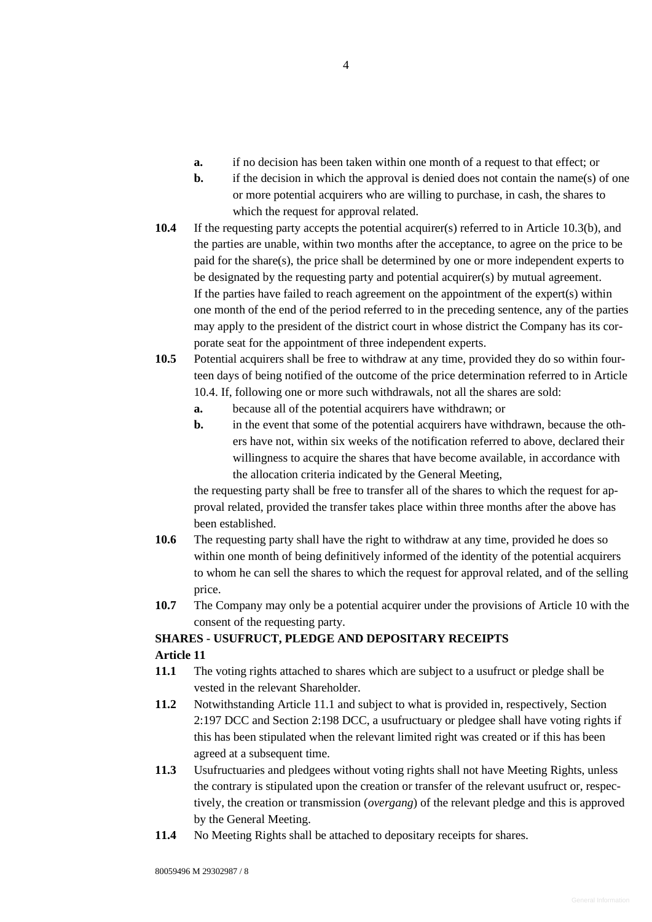- **a.** if no decision has been taken within one month of a request to that effect; or
- **b.** if the decision in which the approval is denied does not contain the name(s) of one or more potential acquirers who are willing to purchase, in cash, the shares to which the request for approval related.
- <span id="page-3-0"></span>**10.4** If the requesting party accepts the potential acquirer(s) referred to in Article [10.3\(](#page-2-3)b), and the parties are unable, within two months after the acceptance, to agree on the price to be paid for the share(s), the price shall be determined by one or more independent experts to be designated by the requesting party and potential acquirer(s) by mutual agreement. If the parties have failed to reach agreement on the appointment of the expert(s) within one month of the end of the period referred to in the preceding sentence, any of the parties may apply to the president of the district court in whose district the Company has its corporate seat for the appointment of three independent experts.
- **10.5** Potential acquirers shall be free to withdraw at any time, provided they do so within fourteen days of being notified of the outcome of the price determination referred to in Article [10.4.](#page-3-0) If, following one or more such withdrawals, not all the shares are sold:
	- **a.** because all of the potential acquirers have withdrawn; or
	- **b.** in the event that some of the potential acquirers have withdrawn, because the others have not, within six weeks of the notification referred to above, declared their willingness to acquire the shares that have become available, in accordance with the allocation criteria indicated by the General Meeting,

the requesting party shall be free to transfer all of the shares to which the request for approval related, provided the transfer takes place within three months after the above has been established.

- **10.6** The requesting party shall have the right to withdraw at any time, provided he does so within one month of being definitively informed of the identity of the potential acquirers to whom he can sell the shares to which the request for approval related, and of the selling price.
- **10.7** The Company may only be a potential acquirer under the provisions of [Article 10](#page-2-4) with the consent of the requesting party.

# **SHARES - USUFRUCT, PLEDGE AND DEPOSITARY RECEIPTS**

- <span id="page-3-1"></span>**11.1** The voting rights attached to shares which are subject to a usufruct or pledge shall be vested in the relevant Shareholder.
- **11.2** Notwithstanding Article [11.1](#page-3-1) and subject to what is provided in, respectively, Section 2:197 DCC and Section 2:198 DCC, a usufructuary or pledgee shall have voting rights if this has been stipulated when the relevant limited right was created or if this has been agreed at a subsequent time.
- **11.3** Usufructuaries and pledgees without voting rights shall not have Meeting Rights, unless the contrary is stipulated upon the creation or transfer of the relevant usufruct or, respectively, the creation or transmission (*overgang*) of the relevant pledge and this is approved by the General Meeting.
- **11.4** No Meeting Rights shall be attached to depositary receipts for shares.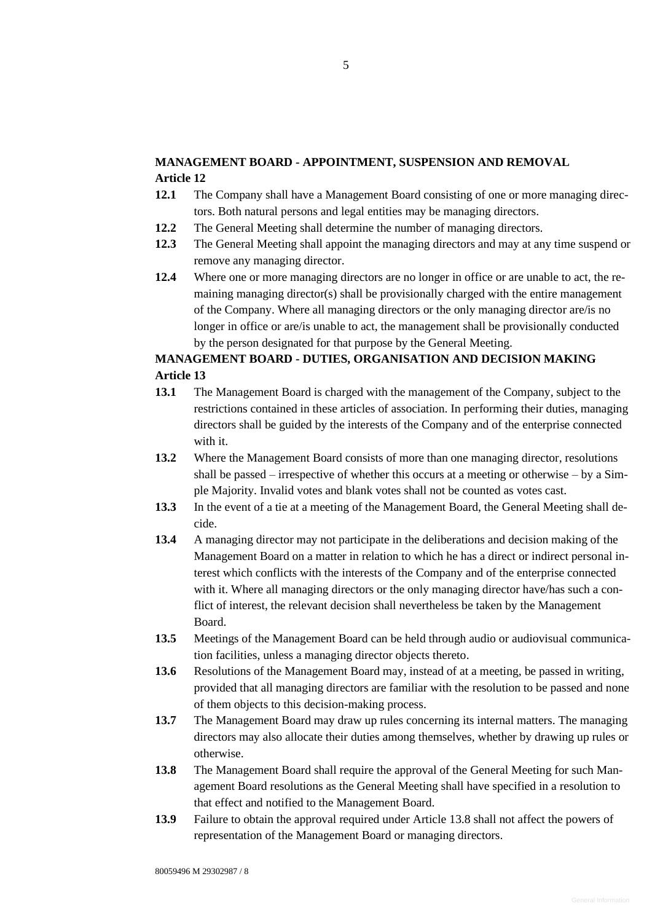# **MANAGEMENT BOARD - APPOINTMENT, SUSPENSION AND REMOVAL Article 12**

- **12.1** The Company shall have a Management Board consisting of one or more managing directors. Both natural persons and legal entities may be managing directors.
- **12.2** The General Meeting shall determine the number of managing directors.
- **12.3** The General Meeting shall appoint the managing directors and may at any time suspend or remove any managing director.
- **12.4** Where one or more managing directors are no longer in office or are unable to act, the remaining managing director(s) shall be provisionally charged with the entire management of the Company. Where all managing directors or the only managing director are/is no longer in office or are/is unable to act, the management shall be provisionally conducted by the person designated for that purpose by the General Meeting.

# **MANAGEMENT BOARD - DUTIES, ORGANISATION AND DECISION MAKING Article 13**

- **13.1** The Management Board is charged with the management of the Company, subject to the restrictions contained in these articles of association. In performing their duties, managing directors shall be guided by the interests of the Company and of the enterprise connected with it.
- **13.2** Where the Management Board consists of more than one managing director, resolutions shall be passed – irrespective of whether this occurs at a meeting or otherwise – by a Simple Majority. Invalid votes and blank votes shall not be counted as votes cast.
- **13.3** In the event of a tie at a meeting of the Management Board, the General Meeting shall decide.
- **13.4** A managing director may not participate in the deliberations and decision making of the Management Board on a matter in relation to which he has a direct or indirect personal interest which conflicts with the interests of the Company and of the enterprise connected with it. Where all managing directors or the only managing director have/has such a conflict of interest, the relevant decision shall nevertheless be taken by the Management Board.
- **13.5** Meetings of the Management Board can be held through audio or audiovisual communication facilities, unless a managing director objects thereto.
- **13.6** Resolutions of the Management Board may, instead of at a meeting, be passed in writing, provided that all managing directors are familiar with the resolution to be passed and none of them objects to this decision-making process.
- **13.7** The Management Board may draw up rules concerning its internal matters. The managing directors may also allocate their duties among themselves, whether by drawing up rules or otherwise.
- <span id="page-4-0"></span>**13.8** The Management Board shall require the approval of the General Meeting for such Management Board resolutions as the General Meeting shall have specified in a resolution to that effect and notified to the Management Board.
- **13.9** Failure to obtain the approval required under Article [13.8](#page-4-0) shall not affect the powers of representation of the Management Board or managing directors.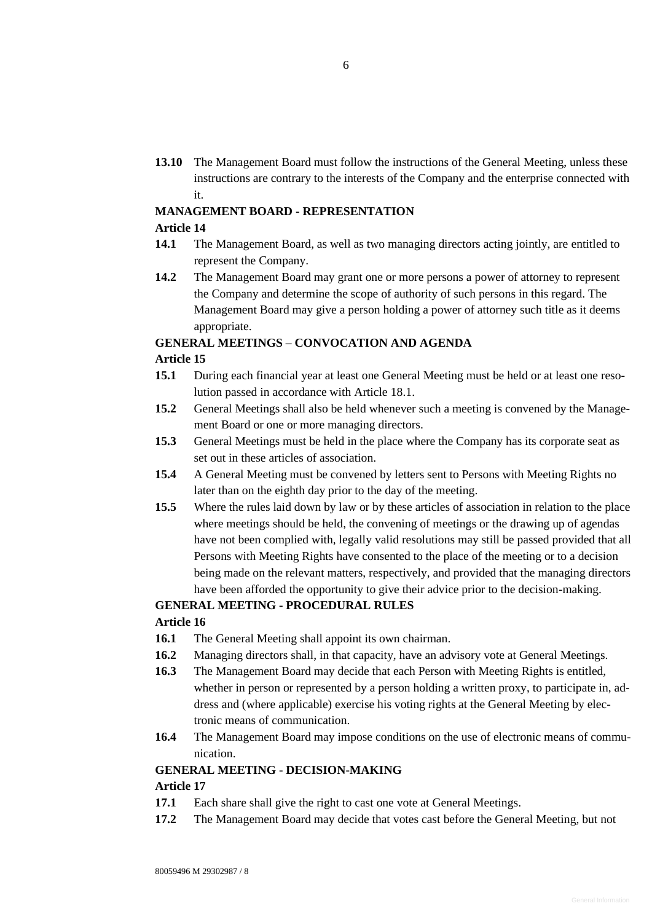**13.10** The Management Board must follow the instructions of the General Meeting, unless these instructions are contrary to the interests of the Company and the enterprise connected with it.

# **MANAGEMENT BOARD - REPRESENTATION**

#### **Article 14**

- **14.1** The Management Board, as well as two managing directors acting jointly, are entitled to represent the Company.
- **14.2** The Management Board may grant one or more persons a power of attorney to represent the Company and determine the scope of authority of such persons in this regard. The Management Board may give a person holding a power of attorney such title as it deems appropriate.

# **GENERAL MEETINGS – CONVOCATION AND AGENDA**

### **Article 15**

- **15.1** During each financial year at least one General Meeting must be held or at least one resolution passed in accordance with Article [18.1.](#page-6-0)
- **15.2** General Meetings shall also be held whenever such a meeting is convened by the Management Board or one or more managing directors.
- **15.3** General Meetings must be held in the place where the Company has its corporate seat as set out in these articles of association.
- **15.4** A General Meeting must be convened by letters sent to Persons with Meeting Rights no later than on the eighth day prior to the day of the meeting.
- **15.5** Where the rules laid down by law or by these articles of association in relation to the place where meetings should be held, the convening of meetings or the drawing up of agendas have not been complied with, legally valid resolutions may still be passed provided that all Persons with Meeting Rights have consented to the place of the meeting or to a decision being made on the relevant matters, respectively, and provided that the managing directors have been afforded the opportunity to give their advice prior to the decision-making.

### **GENERAL MEETING - PROCEDURAL RULES**

### **Article 16**

- **16.1** The General Meeting shall appoint its own chairman.
- **16.2** Managing directors shall, in that capacity, have an advisory vote at General Meetings.
- **16.3** The Management Board may decide that each Person with Meeting Rights is entitled, whether in person or represented by a person holding a written proxy, to participate in, address and (where applicable) exercise his voting rights at the General Meeting by electronic means of communication.
- **16.4** The Management Board may impose conditions on the use of electronic means of communication.

#### **GENERAL MEETING - DECISION-MAKING**

- **17.1** Each share shall give the right to cast one vote at General Meetings.
- **17.2** The Management Board may decide that votes cast before the General Meeting, but not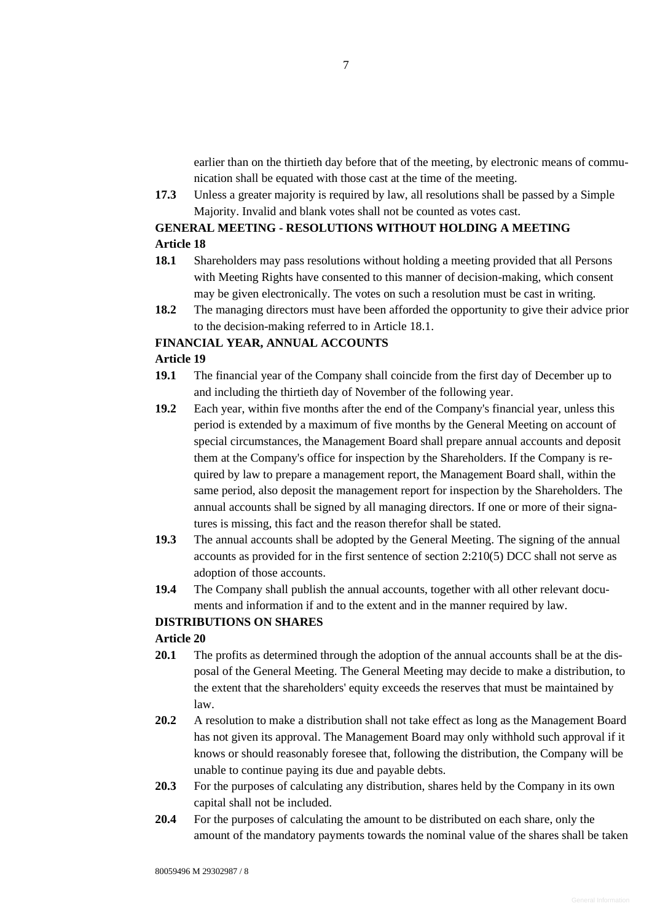earlier than on the thirtieth day before that of the meeting, by electronic means of communication shall be equated with those cast at the time of the meeting.

**17.3** Unless a greater majority is required by law, all resolutions shall be passed by a Simple Majority. Invalid and blank votes shall not be counted as votes cast.

# **GENERAL MEETING - RESOLUTIONS WITHOUT HOLDING A MEETING Article 18**

- <span id="page-6-0"></span>**18.1** Shareholders may pass resolutions without holding a meeting provided that all Persons with Meeting Rights have consented to this manner of decision-making, which consent may be given electronically. The votes on such a resolution must be cast in writing.
- **18.2** The managing directors must have been afforded the opportunity to give their advice prior to the decision-making referred to in Article [18.1.](#page-6-0)

### **FINANCIAL YEAR, ANNUAL ACCOUNTS**

### **Article 19**

- **19.1** The financial year of the Company shall coincide from the first day of December up to and including the thirtieth day of November of the following year.
- **19.2** Each year, within five months after the end of the Company's financial year, unless this period is extended by a maximum of five months by the General Meeting on account of special circumstances, the Management Board shall prepare annual accounts and deposit them at the Company's office for inspection by the Shareholders. If the Company is required by law to prepare a management report, the Management Board shall, within the same period, also deposit the management report for inspection by the Shareholders. The annual accounts shall be signed by all managing directors. If one or more of their signatures is missing, this fact and the reason therefor shall be stated.
- **19.3** The annual accounts shall be adopted by the General Meeting. The signing of the annual accounts as provided for in the first sentence of section 2:210(5) DCC shall not serve as adoption of those accounts.
- **19.4** The Company shall publish the annual accounts, together with all other relevant documents and information if and to the extent and in the manner required by law.

#### **DISTRIBUTIONS ON SHARES**

- **20.1** The profits as determined through the adoption of the annual accounts shall be at the disposal of the General Meeting. The General Meeting may decide to make a distribution, to the extent that the shareholders' equity exceeds the reserves that must be maintained by law.
- **20.2** A resolution to make a distribution shall not take effect as long as the Management Board has not given its approval. The Management Board may only withhold such approval if it knows or should reasonably foresee that, following the distribution, the Company will be unable to continue paying its due and payable debts.
- **20.3** For the purposes of calculating any distribution, shares held by the Company in its own capital shall not be included.
- **20.4** For the purposes of calculating the amount to be distributed on each share, only the amount of the mandatory payments towards the nominal value of the shares shall be taken